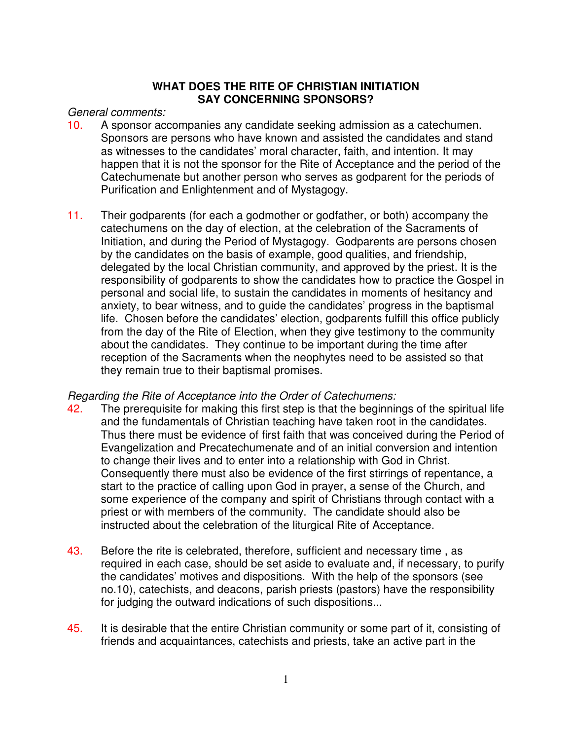## **WHAT DOES THE RITE OF CHRISTIAN INITIATION SAY CONCERNING SPONSORS?**

General comments:

- 10. A sponsor accompanies any candidate seeking admission as a catechumen. Sponsors are persons who have known and assisted the candidates and stand as witnesses to the candidates' moral character, faith, and intention. It may happen that it is not the sponsor for the Rite of Acceptance and the period of the Catechumenate but another person who serves as godparent for the periods of Purification and Enlightenment and of Mystagogy.
- 11. Their godparents (for each a godmother or godfather, or both) accompany the catechumens on the day of election, at the celebration of the Sacraments of Initiation, and during the Period of Mystagogy. Godparents are persons chosen by the candidates on the basis of example, good qualities, and friendship, delegated by the local Christian community, and approved by the priest. It is the responsibility of godparents to show the candidates how to practice the Gospel in personal and social life, to sustain the candidates in moments of hesitancy and anxiety, to bear witness, and to guide the candidates' progress in the baptismal life. Chosen before the candidates' election, godparents fulfill this office publicly from the day of the Rite of Election, when they give testimony to the community about the candidates. They continue to be important during the time after reception of the Sacraments when the neophytes need to be assisted so that they remain true to their baptismal promises.

## Regarding the Rite of Acceptance into the Order of Catechumens:

- 42. The prerequisite for making this first step is that the beginnings of the spiritual life and the fundamentals of Christian teaching have taken root in the candidates. Thus there must be evidence of first faith that was conceived during the Period of Evangelization and Precatechumenate and of an initial conversion and intention to change their lives and to enter into a relationship with God in Christ. Consequently there must also be evidence of the first stirrings of repentance, a start to the practice of calling upon God in prayer, a sense of the Church, and some experience of the company and spirit of Christians through contact with a priest or with members of the community. The candidate should also be instructed about the celebration of the liturgical Rite of Acceptance.
- 43. Before the rite is celebrated, therefore, sufficient and necessary time, as required in each case, should be set aside to evaluate and, if necessary, to purify the candidates' motives and dispositions. With the help of the sponsors (see no.10), catechists, and deacons, parish priests (pastors) have the responsibility for judging the outward indications of such dispositions...
- 45. It is desirable that the entire Christian community or some part of it, consisting of friends and acquaintances, catechists and priests, take an active part in the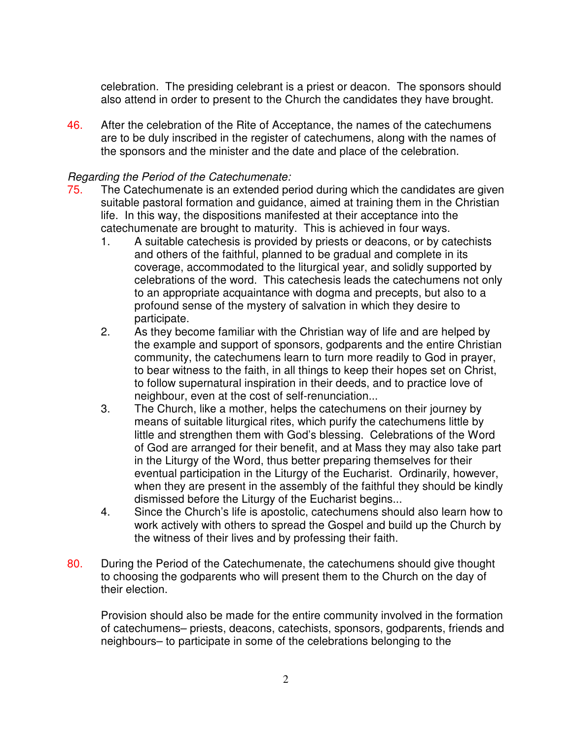celebration. The presiding celebrant is a priest or deacon. The sponsors should also attend in order to present to the Church the candidates they have brought.

46. After the celebration of the Rite of Acceptance, the names of the catechumens are to be duly inscribed in the register of catechumens, along with the names of the sponsors and the minister and the date and place of the celebration.

## Regarding the Period of the Catechumenate:

- 75. The Catechumenate is an extended period during which the candidates are given suitable pastoral formation and guidance, aimed at training them in the Christian life. In this way, the dispositions manifested at their acceptance into the catechumenate are brought to maturity. This is achieved in four ways.
	- 1. A suitable catechesis is provided by priests or deacons, or by catechists and others of the faithful, planned to be gradual and complete in its coverage, accommodated to the liturgical year, and solidly supported by celebrations of the word. This catechesis leads the catechumens not only to an appropriate acquaintance with dogma and precepts, but also to a profound sense of the mystery of salvation in which they desire to participate.
	- 2. As they become familiar with the Christian way of life and are helped by the example and support of sponsors, godparents and the entire Christian community, the catechumens learn to turn more readily to God in prayer, to bear witness to the faith, in all things to keep their hopes set on Christ, to follow supernatural inspiration in their deeds, and to practice love of neighbour, even at the cost of self-renunciation...
	- 3. The Church, like a mother, helps the catechumens on their journey by means of suitable liturgical rites, which purify the catechumens little by little and strengthen them with God's blessing. Celebrations of the Word of God are arranged for their benefit, and at Mass they may also take part in the Liturgy of the Word, thus better preparing themselves for their eventual participation in the Liturgy of the Eucharist. Ordinarily, however, when they are present in the assembly of the faithful they should be kindly dismissed before the Liturgy of the Eucharist begins...
	- 4. Since the Church's life is apostolic, catechumens should also learn how to work actively with others to spread the Gospel and build up the Church by the witness of their lives and by professing their faith.
- 80. During the Period of the Catechumenate, the catechumens should give thought to choosing the godparents who will present them to the Church on the day of their election.

Provision should also be made for the entire community involved in the formation of catechumens– priests, deacons, catechists, sponsors, godparents, friends and neighbours– to participate in some of the celebrations belonging to the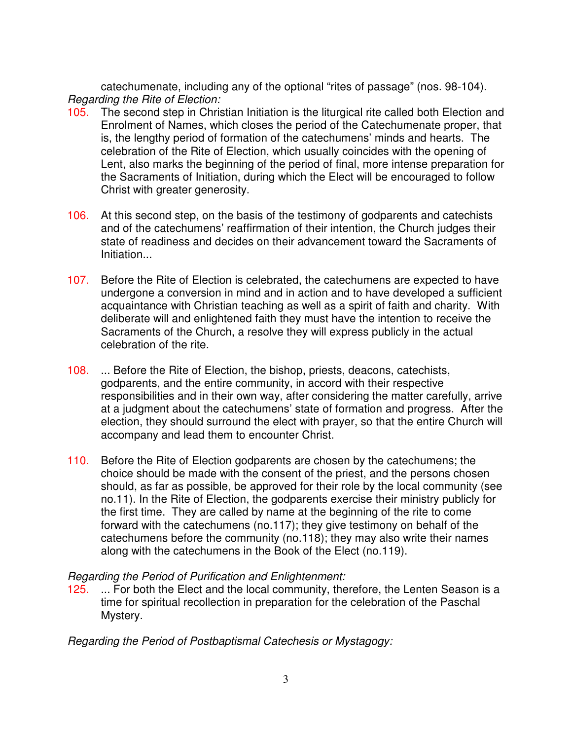catechumenate, including any of the optional "rites of passage" (nos. 98-104). Regarding the Rite of Election:

- 105. The second step in Christian Initiation is the liturgical rite called both Election and Enrolment of Names, which closes the period of the Catechumenate proper, that is, the lengthy period of formation of the catechumens' minds and hearts. The celebration of the Rite of Election, which usually coincides with the opening of Lent, also marks the beginning of the period of final, more intense preparation for the Sacraments of Initiation, during which the Elect will be encouraged to follow Christ with greater generosity.
- 106. At this second step, on the basis of the testimony of godparents and catechists and of the catechumens' reaffirmation of their intention, the Church judges their state of readiness and decides on their advancement toward the Sacraments of Initiation...
- 107. Before the Rite of Election is celebrated, the catechumens are expected to have undergone a conversion in mind and in action and to have developed a sufficient acquaintance with Christian teaching as well as a spirit of faith and charity. With deliberate will and enlightened faith they must have the intention to receive the Sacraments of the Church, a resolve they will express publicly in the actual celebration of the rite.
- 108. ... Before the Rite of Election, the bishop, priests, deacons, catechists, godparents, and the entire community, in accord with their respective responsibilities and in their own way, after considering the matter carefully, arrive at a judgment about the catechumens' state of formation and progress. After the election, they should surround the elect with prayer, so that the entire Church will accompany and lead them to encounter Christ.
- 110. Before the Rite of Election godparents are chosen by the catechumens; the choice should be made with the consent of the priest, and the persons chosen should, as far as possible, be approved for their role by the local community (see no.11). In the Rite of Election, the godparents exercise their ministry publicly for the first time. They are called by name at the beginning of the rite to come forward with the catechumens (no.117); they give testimony on behalf of the catechumens before the community (no.118); they may also write their names along with the catechumens in the Book of the Elect (no.119).

## Regarding the Period of Purification and Enlightenment:

125. ... For both the Elect and the local community, therefore, the Lenten Season is a time for spiritual recollection in preparation for the celebration of the Paschal Mystery.

Regarding the Period of Postbaptismal Catechesis or Mystagogy: